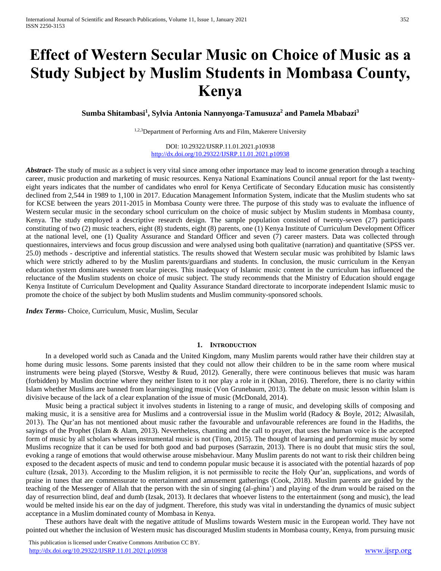# **Effect of Western Secular Music on Choice of Music as a Study Subject by Muslim Students in Mombasa County, Kenya**

**Sumba Shitambasi<sup>1</sup> , Sylvia Antonia Nannyonga-Tamusuza<sup>2</sup> and Pamela Mbabazi<sup>3</sup>**

1,2,3Department of Performing Arts and Film, Makerere University

DOI: 10.29322/IJSRP.11.01.2021.p10938 <http://dx.doi.org/10.29322/IJSRP.11.01.2021.p10938>

*Abstract* The study of music as a subject is very vital since among other importance may lead to income generation through a teaching career, music production and marketing of music resources. Kenya National Examinations Council annual report for the last twentyeight years indicates that the number of candidates who enrol for Kenya Certificate of Secondary Education music has consistently declined from 2,544 in 1989 to 1,100 in 2017. Education Management Information System, indicate that the Muslim students who sat for KCSE between the years 2011-2015 in Mombasa County were three. The purpose of this study was to evaluate the influence of Western secular music in the secondary school curriculum on the choice of music subject by Muslim students in Mombasa county, Kenya. The study employed a descriptive research design. The sample population consisted of twenty-seven (27) participants constituting of two (2) music teachers, eight (8) students, eight (8) parents, one (1) Kenya Institute of Curriculum Development Officer at the national level, one (1) Quality Assurance and Standard Officer and seven (7) career masters. Data was collected through questionnaires, interviews and focus group discussion and were analysed using both qualitative (narration) and quantitative (SPSS ver. 25.0) methods - descriptive and inferential statistics. The results showed that Western secular music was prohibited by Islamic laws which were strictly adhered to by the Muslim parents/guardians and students. In conclusion, the music curriculum in the Kenyan education system dominates western secular pieces. This inadequacy of Islamic music content in the curriculum has influenced the reluctance of the Muslim students on choice of music subject. The study recommends that the Ministry of Education should engage Kenya Institute of Curriculum Development and Quality Assurance Standard directorate to incorporate independent Islamic music to promote the choice of the subject by both Muslim students and Muslim community-sponsored schools.

*Index Terms*- Choice, Curriculum, Music, Muslim, Secular

# **1. INTRODUCTION**

In a developed world such as Canada and the United Kingdom, many Muslim parents would rather have their children stay at home during music lessons. Some parents insisted that they could not allow their children to be in the same room where musical instruments were being played (Storsve, Westby & Ruud, 2012). Generally, there were continuous believes that music was haram (forbidden) by Muslim doctrine where they neither listen to it nor play a role in it (Khan, 2016). Therefore, there is no clarity within Islam whether Muslims are banned from learning/singing music (Von Grunebaum, 2013). The debate on music lesson within Islam is divisive because of the lack of a clear explanation of the issue of music (McDonald, 2014).

Music being a practical subject it involves students in listening to a range of music, and developing skills of composing and making music, it is a sensitive area for Muslims and a controversial issue in the Muslim world (Radocy & Boyle, 2012; Alwasilah, 2013). The Qur'an has not mentioned about music rather the favourable and unfavourable references are found in the Hadiths, the sayings of the Prophet (Islam & Alam, 2013). Nevertheless, chanting and the call to prayer, that uses the human voice is the accepted form of music by all scholars whereas instrumental music is not (Titon, 2015). The thought of learning and performing music by some Muslims recognize that it can be used for both good and bad purposes (Sarrazin, 2013). There is no doubt that music stirs the soul, evoking a range of emotions that would otherwise arouse misbehaviour. Many Muslim parents do not want to risk their children being exposed to the decadent aspects of music and tend to condemn popular music because it is associated with the potential hazards of pop culture (Izsak, 2013). According to the Muslim religion, it is not permissible to recite the Holy Qur'an, supplications, and words of praise in tunes that are commensurate to entertainment and amusement gatherings (Cook, 2018). Muslim parents are guided by the teaching of the Messenger of Allah that the person with the sin of singing (al-ghina') and playing of the drum would be raised on the day of resurrection blind, deaf and dumb (Izsak, 2013). It declares that whoever listens to the entertainment (song and music), the lead would be melted inside his ear on the day of judgment. Therefore, this study was vital in understanding the dynamics of music subject acceptance in a Muslim dominated county of Mombasa in Kenya.

These authors have dealt with the negative attitude of Muslims towards Western music in the European world. They have not pointed out whether the inclusion of Western music has discouraged Muslim students in Mombasa county, Kenya, from pursuing music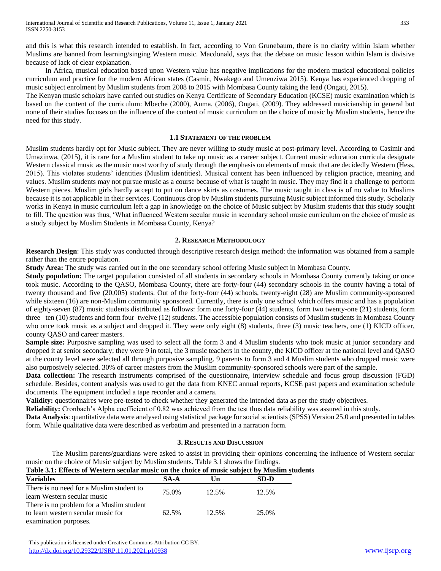and this is what this research intended to establish. In fact, according to Von Grunebaum, there is no clarity within Islam whether Muslims are banned from learning/singing Western music. Macdonald, says that the debate on music lesson within Islam is divisive because of lack of clear explanation.

In Africa, musical education based upon Western value has negative implications for the modern musical educational policies curriculum and practice for the modern African states (Casmir, Nwakego and Umenziwa 2015). Kenya has experienced dropping of music subject enrolment by Muslim students from 2008 to 2015 with Mombasa County taking the lead (Ongati, 2015).

The Kenyan music scholars have carried out studies on Kenya Certificate of Secondary Education (KCSE) music examination which is based on the content of the curriculum: Mbeche (2000), Auma, (2006), Ongati, (2009). They addressed musicianship in general but none of their studies focuses on the influence of the content of music curriculum on the choice of music by Muslim students, hence the need for this study.

#### **1.1 STATEMENT OF THE PROBLEM**

Muslim students hardly opt for Music subject. They are never willing to study music at post-primary level. According to Casimir and Umazinwa, (2015), it is rare for a Muslim student to take up music as a career subject. Current music education curricula designate Western classical music as the music most worthy of study through the emphasis on elements of music that are decidedly Western (Hess, 2015). This violates students' identities (Muslim identities). Musical content has been influenced by religion practice, meaning and values. Muslim students may not pursue music as a course because of what is taught in music. They may find it a challenge to perform Western pieces. Muslim girls hardly accept to put on dance skirts as costumes. The music taught in class is of no value to Muslims because it is not applicable in their services. Continuous drop by Muslim students pursuing Music subject informed this study. Scholarly works in Kenya in music curriculum left a gap in knowledge on the choice of Music subject by Muslim students that this study sought to fill. The question was thus, 'What influenced Western secular music in secondary school music curriculum on the choice of music as a study subject by Muslim Students in Mombasa County, Kenya?

# **2. RESEARCH METHODOLOGY**

**Research Design**: This study was conducted through descriptive research design method: the information was obtained from a sample rather than the entire population.

**Study Area:** The study was carried out in the one secondary school offering Music subject in Mombasa County.

**Study population:** The target population consisted of all students in secondary schools in Mombasa County currently taking or once took music. According to the QASO, Mombasa County, there are forty-four (44) secondary schools in the county having a total of twenty thousand and five (20,005) students. Out of the forty-four (44) schools, twenty-eight (28) are Muslim community-sponsored while sixteen (16) are non-Muslim community sponsored. Currently, there is only one school which offers music and has a population of eighty-seven (87) music students distributed as follows: form one forty-four (44) students, form two twenty-one (21) students, form three– ten (10) students and form four–twelve (12) students. The accessible population consists of Muslim students in Mombasa County who once took music as a subject and dropped it. They were only eight (8) students, three (3) music teachers, one (1) KICD officer, county QASO and career masters.

**Sample size:** Purposive sampling was used to select all the form 3 and 4 Muslim students who took music at junior secondary and dropped it at senior secondary; they were 9 in total, the 3 music teachers in the county, the KICD officer at the national level and QASO at the county level were selected all through purposive sampling. 9 parents to form 3 and 4 Muslim students who dropped music were also purposively selected. 30% of career masters from the Muslim community-sponsored schools were part of the sample.

**Data collection:** The research instruments comprised of the questionnaire, interview schedule and focus group discussion (FGD) schedule. Besides, content analysis was used to get the data from KNEC annual reports, KCSE past papers and examination schedule documents. The equipment included a tape recorder and a camera.

**Validity:** questionnaires were pre-tested to check whether they generated the intended data as per the study objectives.

**Reliability:** Cronbach's Alpha coefficient of 0.82 was achieved from the test thus data reliability was assured in this study.

**Data Analysis**: quantitative data were analysed using statistical package for social scientists (SPSS) Version 25.0 and presented in tables form. While qualitative data were described as verbatim and presented in a narration form.

# **3. RESULTS AND DISCUSSION**

The Muslim parents/guardians were asked to assist in providing their opinions concerning the influence of Western secular music on the choice of Music subject by Muslim students. Table 3.1 shows the findings.

**Table 3.1: Effects of Western secular music on the choice of music subject by Muslim students**

| where he have the common our time through the animals have level in |       |       |       |  |
|---------------------------------------------------------------------|-------|-------|-------|--|
| <b>Variables</b>                                                    | SA-A  | Un    | SD-D  |  |
| There is no need for a Muslim student to                            | 75.0% | 12.5% | 12.5% |  |
| learn Western secular music                                         |       |       |       |  |
| There is no problem for a Muslim student                            |       |       |       |  |
| to learn western secular music for                                  | 62.5% | 12.5% | 25.0% |  |
| examination purposes.                                               |       |       |       |  |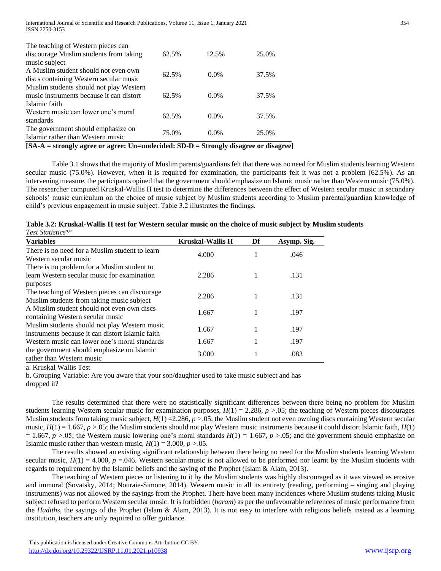| The teaching of Western pieces can       |       |         |       |
|------------------------------------------|-------|---------|-------|
| discourage Muslim students from taking   | 62.5% | 12.5%   | 25.0% |
| music subject                            |       |         |       |
| A Muslim student should not even own     | 62.5% | $0.0\%$ | 37.5% |
| discs containing Western secular music   |       |         |       |
| Muslim students should not play Western  |       |         |       |
| music instruments because it can distort | 62.5% | $0.0\%$ | 37.5% |
| Islamic faith                            |       |         |       |
| Western music can lower one's moral      |       |         |       |
| standards                                | 62.5% | $0.0\%$ | 37.5% |
| The government should emphasize on       |       |         |       |
| Islamic rather than Western music        | 75.0% | $0.0\%$ | 25.0% |
|                                          |       |         |       |

**[SA-A = strongly agree or agree: Un=undecided: SD-D = Strongly disagree or disagree]**

Table 3.1 shows that the majority of Muslim parents/guardians felt that there was no need for Muslim students learning Western secular music (75.0%). However, when it is required for examination, the participants felt it was not a problem (62.5%). As an intervening measure, the participants opined that the government should emphasize on Islamic music rather than Western music (75.0%). The researcher computed Kruskal-Wallis H test to determine the differences between the effect of Western secular music in secondary schools' music curriculum on the choice of music subject by Muslim students according to Muslim parental/guardian knowledge of child's previous engagement in music subject. Table 3.2 illustrates the findings.

| Table 3.2: Kruskal-Wallis H test for Western secular music on the choice of music subject by Muslim students |  |  |
|--------------------------------------------------------------------------------------------------------------|--|--|
| Test Statistics <sup>a,b</sup>                                                                               |  |  |

| <b>Variables</b>                                                                                       | <b>Kruskal-Wallis H</b> | Df | Asymp. Sig. |
|--------------------------------------------------------------------------------------------------------|-------------------------|----|-------------|
| There is no need for a Muslim student to learn<br>Western secular music                                | 4.000                   |    | .046        |
| There is no problem for a Muslim student to<br>learn Western secular music for examination             | 2.286                   |    | .131        |
| purposes<br>The teaching of Western pieces can discourage<br>Muslim students from taking music subject | 2.286                   |    | .131        |
| A Muslim student should not even own discs<br>containing Western secular music                         | 1.667                   |    | .197        |
| Muslim students should not play Western music<br>instruments because it can distort Islamic faith      | 1.667                   |    | .197        |
| Western music can lower one's moral standards                                                          | 1.667                   |    | .197        |
| the government should emphasize on Islamic<br>rather than Western music                                | 3.000                   |    | .083        |

a. Kruskal Wallis Test

b. Grouping Variable: Are you aware that your son/daughter used to take music subject and has dropped it?

The results determined that there were no statistically significant differences between there being no problem for Muslim students learning Western secular music for examination purposes,  $H(1) = 2.286$ ,  $p > .05$ ; the teaching of Western pieces discourages Muslim students from taking music subject,  $H(1) = 2.286$ ,  $p > 0.05$ ; the Muslim student not even owning discs containing Western secular music,  $H(1) = 1.667$ ,  $p > 0.05$ ; the Muslim students should not play Western music instruments because it could distort Islamic faith,  $H(1)$  $= 1.667$ ,  $p > 0.05$ ; the Western music lowering one's moral standards  $H(1) = 1.667$ ,  $p > 0.05$ ; and the government should emphasize on Islamic music rather than western music,  $H(1) = 3.000, p > 0.05$ .

The results showed an existing significant relationship between there being no need for the Muslim students learning Western secular music,  $H(1) = 4.000$ ,  $p = 0.046$ . Western secular music is not allowed to be performed nor learnt by the Muslim students with regards to requirement by the Islamic beliefs and the saying of the Prophet (Islam & Alam, 2013).

The teaching of Western pieces or listening to it by the Muslim students was highly discouraged as it was viewed as erosive and immoral (Sovatsky, 2014; Nouraie-Simone, 2014). Western music in all its entirety (reading, performing – singing and playing instruments) was not allowed by the sayings from the Prophet. There have been many incidences where Muslim students taking Music subject refused to perform Western secular music. It is forbidden (*haram*) as per the unfavourable references of music performance from the *Hadiths,* the sayings of the Prophet (Islam & Alam, 2013). It is not easy to interfere with religious beliefs instead as a learning institution, teachers are only required to offer guidance.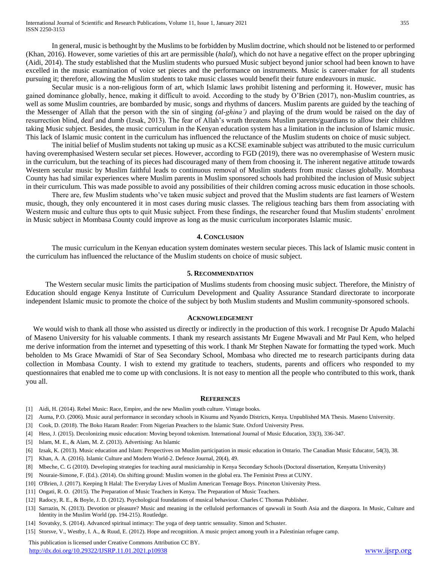In general, music is bethought by the Muslims to be forbidden by Muslim doctrine, which should not be listened to or performed (Khan, 2016). However, some varieties of this art are permissible (*halal*), which do not have a negative effect on the proper upbringing (Aidi, 2014). The study established that the Muslim students who pursued Music subject beyond junior school had been known to have excelled in the music examination of voice set pieces and the performance on instruments. Music is career-maker for all students pursuing it; therefore, allowing the Muslim students to take music classes would benefit their future endeavours in music.

Secular music is a non-religious form of art, which Islamic laws prohibit listening and performing it. However, music has gained dominance globally, hence, making it difficult to avoid. According to the study by O'Brien (2017), non-Muslim countries, as well as some Muslim countries, are bombarded by music, songs and rhythms of dancers. Muslim parents are guided by the teaching of the Messenger of Allah that the person with the sin of singing *(al-ghina')* and playing of the drum would be raised on the day of resurrection blind, deaf and dumb (Izsak, 2013). The fear of Allah's wrath threatens Muslim parents/guardians to allow their children taking Music subject. Besides, the music curriculum in the Kenyan education system has a limitation in the inclusion of Islamic music. This lack of Islamic music content in the curriculum has influenced the reluctance of the Muslim students on choice of music subject.

The initial belief of Muslim students not taking up music as a KCSE examinable subject was attributed to the music curriculum having overemphasised Western secular set pieces. However, according to FGD (2019), there was no overemphasise of Western music in the curriculum, but the teaching of its pieces had discouraged many of them from choosing it. The inherent negative attitude towards Western secular music by Muslim faithful leads to continuous removal of Muslim students from music classes globally. Mombasa County has had similar experiences where Muslim parents in Muslim sponsored schools had prohibited the inclusion of Music subject in their curriculum. This was made possible to avoid any possibilities of their children coming across music education in those schools.

There are, few Muslim students who've taken music subject and proved that the Muslim students are fast learners of Western music, though, they only encountered it in most cases during music classes. The religious teaching bars them from associating with Western music and culture thus opts to quit Music subject. From these findings, the researcher found that Muslim students' enrolment in Music subject in Mombasa County could improve as long as the music curriculum incorporates Islamic music.

### **4. CONCLUSION**

The music curriculum in the Kenyan education system dominates western secular pieces. This lack of Islamic music content in the curriculum has influenced the reluctance of the Muslim students on choice of music subject.

#### **5. RECOMMENDATION**

The Western secular music limits the participation of Muslims students from choosing music subject. Therefore, the Ministry of Education should engage Kenya Institute of Curriculum Development and Quality Assurance Standard directorate to incorporate independent Islamic music to promote the choice of the subject by both Muslim students and Muslim community-sponsored schools.

#### **ACKNOWLEDGEMENT**

We would wish to thank all those who assisted us directly or indirectly in the production of this work. I recognise Dr Apudo Malachi of Maseno University for his valuable comments. I thank my research assistants Mr Eugene Mwavali and Mr Paul Kem, who helped me derive information from the internet and typesetting of this work. I thank Mr Stephen Nawate for formatting the typed work. Much beholden to Ms Grace Mwamidi of Star of Sea Secondary School, Mombasa who directed me to research participants during data collection in Mombasa County. I wish to extend my gratitude to teachers, students, parents and officers who responded to my questionnaires that enabled me to come up with conclusions. It is not easy to mention all the people who contributed to this work, thank you all.

#### **REFERENCES**

- [1] Aidi, H. (2014). Rebel Music: Race, Empire, and the new Muslim youth culture. Vintage books.
- [2] Auma, P.O. (2006). Music aural performance in secondary schools in Kisumu and Nyando Districts, Kenya. Unpublished MA Thesis. Maseno University.
- [3] Cook, D. (2018). The Boko Haram Reader: From Nigerian Preachers to the Islamic State. Oxford University Press.
- [4] Hess, J. (2015). Decolonizing music education: Moving beyond tokenism. International Journal of Music Education, 33(3), 336-347.
- [5] Islam, M. E., & Alam, M. Z. (2013). Advertising: An Islamic
- [6] Izsak, K. (2013). Music education and Islam: Perspectives on Muslim participation in music education in Ontario. The Canadian Music Educator, 54(3), 38.
- [7] Khan, A. A. (2016). Islamic Culture and Modern World-2. Defence Journal, 20(4), 49.
- [8] Mbeche, C. G (2010). Developing strategies for teaching aural musicianship in Kenya Secondary Schools (Doctoral dissertation, Kenyatta University)
- [9] Nouraie-Simone, F. (Ed.). (2014). On shifting ground: Muslim women in the global era. The Feminist Press at CUNY.
- [10] O'Brien, J. (2017). Keeping It Halal: The Everyday Lives of Muslim American Teenage Boys. Princeton University Press.
- [11] Ongati, R. O. (2015). The Preparation of Music Teachers in Kenya. The Preparation of Music Teachers.
- [12] Radocy, R. E., & Boyle, J. D. (2012). Psychological foundations of musical behaviour. Charles C Thomas Publisher.
- [13] Sarrazin, N. (2013). Devotion or pleasure? Music and meaning in the celluloid performances of qawwali in South Asia and the diaspora. In Music, Culture and Identity in the Muslim World (pp. 194-215). Routledge.
- [14] Sovatsky, S. (2014). Advanced spiritual intimacy: The yoga of deep tantric sensuality. Simon and Schuster.
- [15] Storsve, V., Westby, I. A., & Ruud, E. (2012). Hope and recognition. A music project among youth in a Palestinian refugee camp.

 This publication is licensed under Creative Commons Attribution CC BY. <http://dx.doi.org/10.29322/IJSRP.11.01.2021.p10938> [www.ijsrp.org](http://ijsrp.org/)